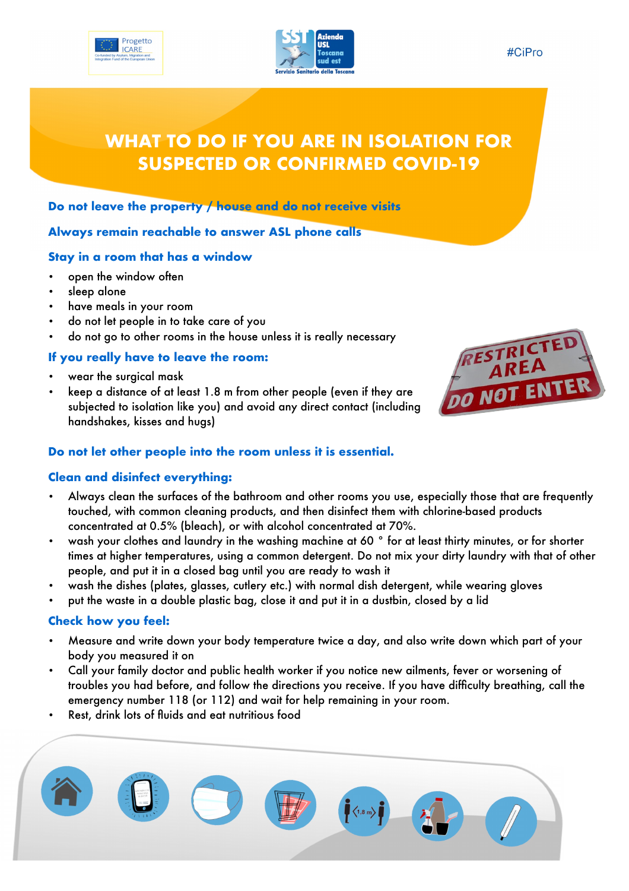



#### #CiPro

# **WHAT TO DO IF YOU ARE IN ISOLATION FOR SUSPECTED OR CONFIRMED COVID-19**

#### **Do not leave the property / house and do not receive visits**

### **Always remain reachable to answer ASL phone calls**

#### **Stay in a room that has a window**

- open the window often
- sleep alone
- have meals in your room
- do not let people in to take care of you
- do not go to other rooms in the house unless it is really necessary

#### **If you really have to leave the room:**

- wear the surgical mask
- keep a distance of at least 1.8 m from other people (even if they are subjected to isolation like you) and avoid any direct contact (including handshakes, kisses and hugs)



#### **Do not let other people into the room unless it is essential.**

#### **Clean and disinfect everything:**

- Always clean the surfaces of the bathroom and other rooms you use, especially those that are frequently touched, with common cleaning products, and then disinfect them with chlorine-based products concentrated at 0.5% (bleach), or with alcohol concentrated at 70%.
- wash your clothes and laundry in the washing machine at 60 ° for at least thirty minutes, or for shorter times at higher temperatures, using a common detergent. Do not mix your dirty laundry with that of other people, and put it in a closed bag until you are ready to wash it
- wash the dishes (plates, glasses, cutlery etc.) with normal dish detergent, while wearing gloves
- put the waste in a double plastic bag, close it and put it in a dustbin, closed by a lid

#### **Check how you feel:**

- Measure and write down your body temperature twice a day, and also write down which part of your body you measured it on
- Call your family doctor and public health worker if you notice new ailments, fever or worsening of troubles you had before, and follow the directions you receive. If you have diffculty breathing, call the emergency number 118 (or 112) and wait for help remaining in your room.
- Rest, drink lots of fluids and eat nutritious food